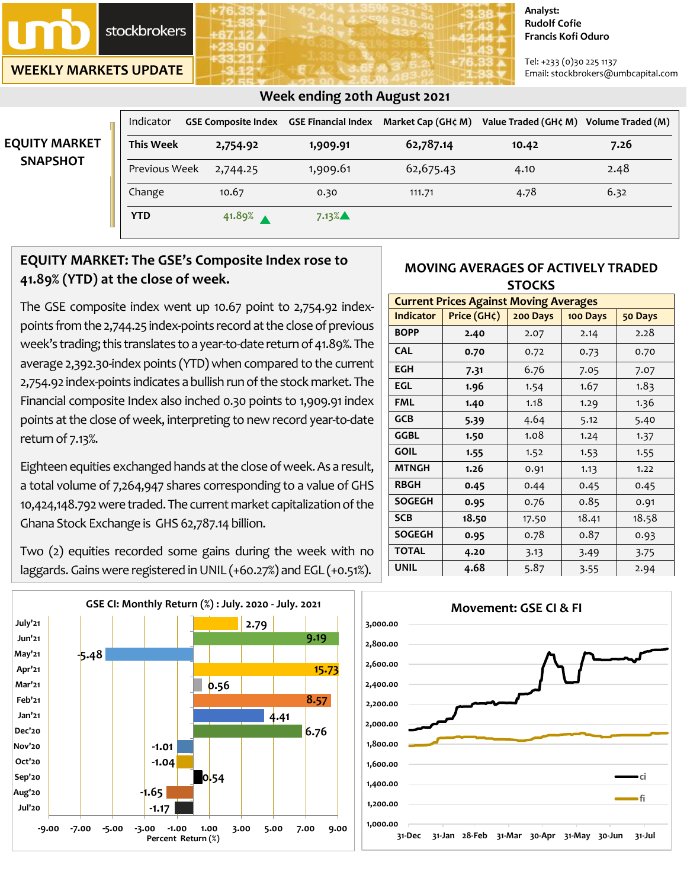stockbrokers

**WEEKLY MARKETS UPDATE**

#### **Analyst: Rudolf Cofie Francis Kofi Oduro**

Tel: +233 (0)30 225 1137 Email: stockbrokers@umbcapital.com

|                      | Indicator        |          | GSE Composite Index   GSE Financial Index | Market Cap (GH¢ M) | Value Traded (GH¢ M) | Volume Traded (M) |
|----------------------|------------------|----------|-------------------------------------------|--------------------|----------------------|-------------------|
| <b>EQUITY MARKET</b> | <b>This Week</b> | 2,754.92 | 1,909.91                                  | 62,787.14          | 10.42                | 7.26              |
| <b>SNAPSHOT</b>      | Previous Week    | 2,744.25 | 1,909.61                                  | 62,675.43          | 4.10                 | 2.48              |
|                      | Change           | 10.67    | 0.30                                      | 111.71             | 4.78                 | 6.32              |
|                      | <b>YTD</b>       | 41.89%   | 7.13%                                     |                    |                      |                   |

### **Week ending 20th August 2021**

## **EQUITY MARKET: The GSE's Composite Index rose to 41.89% (YTD) at the close of week.**

The GSE composite index went up 10.67 point to 2,754.92 indexpoints from the 2,744.25 index-points record at the close of previous week's trading; this translates to a year-to-date return of 41.89%. The average 2,392.30-index points (YTD) when compared to the current 2,754.92 index-points indicates a bullish run of the stock market. The Financial composite Index also inched 0.30 points to 1,909.91 index points at the close of week, interpreting to new record year-to-date return of 7.13%.

Eighteen equities exchanged hands at the close of week. As a result, a total volume of 7,264,947 shares corresponding to a value of GHS 10,424,148.792 were traded. The current market capitalization of the Ghana Stock Exchange is GHS 62,787.14 billion.

Two (2) equities recorded some gains during the week with no laggards. Gains were registered in UNIL (+60.27%) and EGL (+0.51%).



### **MOVING AVERAGES OF ACTIVELY TRADED STOCKS**

| <b>Current Prices Against Moving Averages</b> |             |          |          |         |  |
|-----------------------------------------------|-------------|----------|----------|---------|--|
| <b>Indicator</b>                              | Price (GH¢) | 200 Days | 100 Days | 50 Days |  |
| <b>BOPP</b>                                   | 2.40        | 2.07     | 2.14     | 2.28    |  |
| <b>CAL</b>                                    | 0.70        | 0.72     | 0.73     | 0.70    |  |
| <b>EGH</b>                                    | 7.31        | 6.76     | 7.05     | 7.07    |  |
| <b>EGL</b>                                    | 1.96        | 1.54     | 1.67     | 1.83    |  |
| <b>FML</b>                                    | 1.40        | 1.18     | 1.29     | 1.36    |  |
| <b>GCB</b>                                    | 5.39        | 4.64     | 5.12     | 5.40    |  |
| <b>GGBL</b>                                   | 1.50        | 1.08     | 1.24     | 1.37    |  |
| <b>GOIL</b>                                   | 1.55        | 1.52     | 1.53     | 1.55    |  |
| <b>MTNGH</b>                                  | 1.26        | 0.91     | 1.13     | 1.22    |  |
| <b>RBGH</b>                                   | 0.45        | 0.44     | 0.45     | 0.45    |  |
| <b>SOGEGH</b>                                 | 0.95        | 0.76     | 0.85     | 0.91    |  |
| <b>SCB</b>                                    | 18.50       | 17.50    | 18.41    | 18.58   |  |
| <b>SOGEGH</b>                                 | 0.95        | 0.78     | 0.87     | 0.93    |  |
| <b>TOTAL</b>                                  | 4.20        | 3.13     | 3.49     | 3.75    |  |
| <b>UNIL</b>                                   | 4.68        | 5.87     | 3.55     | 2.94    |  |